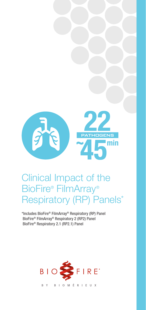

# Clinical Impact of the BioFire® FilmArray® Respiratory (RP) Panels\*

\*Includes BioFire® FilmArray® Respiratory (RP) Panel BioFire® FilmArray® Respiratory 2 (RP2) Panel BioFire® Respiratory 2.1 (RP2.1) Panel

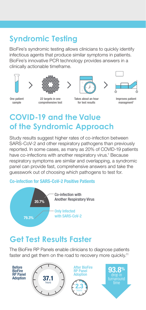## **Syndromic Testing**

BioFire's syndromic testing allows clinicians to quickly identify infectious agents that produce similar symptoms in patients. BioFire's innovative PCR technology provides answers in a clinically actionable timeframe.









One patient sample

22 targets in one comprehensive test

Takes about an hour for test results

Improves patient managment<sup>1</sup>

## **COVID-19 and the Value of the Syndromic Approach**

Study results suggest higher rates of co-infection between SARS-CoV-2 and other respiratory pathogens than previously reported. In some cases, as many as 20% of COVID-19 patients have co-infections with another respiratory virus.<sup>1</sup> Because respiratory symptoms are similar and overlapping, a syndromic panel can provide fast, comprehensive answers and take the guesswork out of choosing which pathogens to test for.

#### Co-infection for SARS-CoV-2 Positive Patients



### **Get Test Results Faster**

The BioFire RP Panels enable clinicians to diagnose patients faster and get them on the road to recovery more quickly.<sup>11</sup>

Before **BioFire** RP Panel Adoption





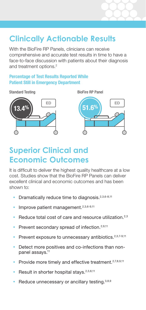## **Clinically Actionable Results**

With the BioFire RP Panels, clinicians can receive comprehensive and accurate test results in time to have a face-to-face discussion with patients about their diagnosis and treatment options.<sup>2</sup>

#### Percentage of Test Results Reported While Patient Still in Emergency Department

Standard Testing BioFire RP Panel





### **Superior Clinical and Economic Outcomes**

It is difficult to deliver the highest quality healthcare at a low cost. Studies show that the BioFire RP Panels can deliver excellent clinical and economic outcomes and has been shown to:

- Dramatically reduce time to diagnosis.<sup>2,3,6-8,11</sup>
- Improve patient management.<sup>2,3,6-9,11</sup>
- Reduce total cost of care and resource utilization. $2,3$
- Prevent secondary spread of infection.<sup>2,9,11</sup>
- Prevent exposure to unnecessary antibiotics.<sup>2,3,7-9,11</sup>
- Detect more positives and co-infections than nonpanel assays.<sup>11</sup>
- Provide more timely and effective treatment.<sup>2,7,8,9,11</sup>
- Result in shorter hospital stays.<sup>2,3,8,11</sup>
- Reduce unnecessary or ancillary testing.<sup>3,8,9</sup>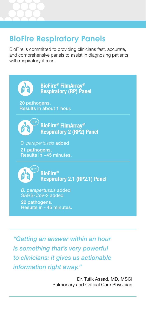### **BioFire Respiratory Panels**

BioFire is committed to providing clinicians fast, accurate, and comprehensive panels to assist in diagnosing patients with respiratory illness.



*"Getting an answer within an hour is something that's very powerful to clinicians: it gives us actionable information right away."*

> Dr. Tufik Assad, MD, MSCI Pulmonary and Critical Care Physician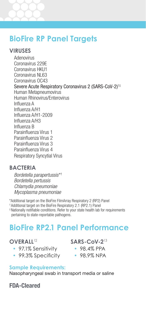### **BioFire RP Panel Targets**

#### **VIRUSES**

**Adenovirus** Coronavirus 229E Coronavirus HKU1 Coronavirus NL63 Coronavirus OC43 Severe Acute Respiratory Coronavirus 2 (SARS-CoV-2)†‡ Human Metapneumovirus Human Rhinovirus/Enterovirus Influenza A Influenza A/H1 Influenza A/H1-2009 Influenza A/H3 Influenza B Parainfluenza Virus 1 Parainfluenza Virus 2 Parainfluenza Virus 3 Parainfluenza Virus 4 Respiratory Syncytial Virus

#### **BACTERIA**

*Bordetella parapertussis*\*† *Bordetella pertussis Chlamydia pneumoniae Mycoplasma pneumoniae*

\*Additional target on the BioFire FilmArray Respiratory 2 (RP2) Panel

† Additional target on the BioFire Respiratory 2.1 (RP2.1) Panel

‡ Nationally notifiable conditions. Refer to your state health lab for requirements pertaining to state-reportable pathogens.

### **BioFire RP2.1 Panel Performance**

#### **OVERALL**<sup>12</sup>

- 97.1% Sensitivity
- 99.3% Specificity

**SARS-CoV-2**<sup>13</sup>

- 98.4% PPA
- 98.9% NPA

#### **Sample Requirements:**

Nasopharyngeal swab in transport media or saline

FDA-Cleared